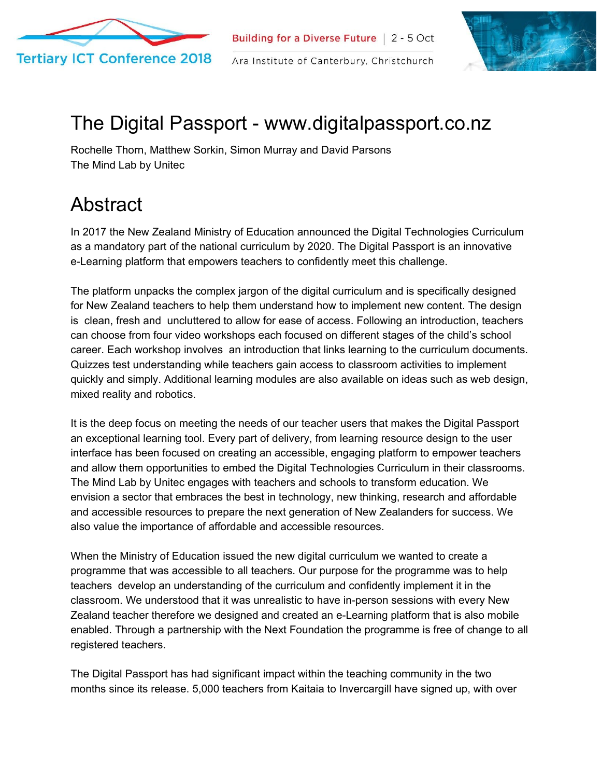



## The Digital Passport - www.digitalpassport.co.nz

Rochelle Thorn, Matthew Sorkin, Simon Murray and David Parsons The Mind Lab by Unitec

## Abstract

In 2017 the New Zealand Ministry of Education announced the Digital Technologies Curriculum as a mandatory part of the national curriculum by 2020. The Digital Passport is an innovative e-Learning platform that empowers teachers to confidently meet this challenge.

The platform unpacks the complex jargon of the digital curriculum and is specifically designed for New Zealand teachers to help them understand how to implement new content. The design is clean, fresh and uncluttered to allow for ease of access. Following an introduction, teachers can choose from four video workshops each focused on different stages of the child's school career. Each workshop involves an introduction that links learning to the curriculum documents. Quizzes test understanding while teachers gain access to classroom activities to implement quickly and simply. Additional learning modules are also available on ideas such as web design, mixed reality and robotics.

It is the deep focus on meeting the needs of our teacher users that makes the Digital Passport an exceptional learning tool. Every part of delivery, from learning resource design to the user interface has been focused on creating an accessible, engaging platform to empower teachers and allow them opportunities to embed the Digital Technologies Curriculum in their classrooms. The Mind Lab by Unitec engages with teachers and schools to transform education. We envision a sector that embraces the best in technology, new thinking, research and affordable and accessible resources to prepare the next generation of New Zealanders for success. We also value the importance of affordable and accessible resources.

When the Ministry of Education issued the new digital curriculum we wanted to create a programme that was accessible to all teachers. Our purpose for the programme was to help teachers develop an understanding of the curriculum and confidently implement it in the classroom. We understood that it was unrealistic to have in-person sessions with every New Zealand teacher therefore we designed and created an e-Learning platform that is also mobile enabled. Through a partnership with the Next Foundation the programme is free of change to all registered teachers.

The Digital Passport has had significant impact within the teaching community in the two months since its release. 5,000 teachers from Kaitaia to Invercargill have signed up, with over